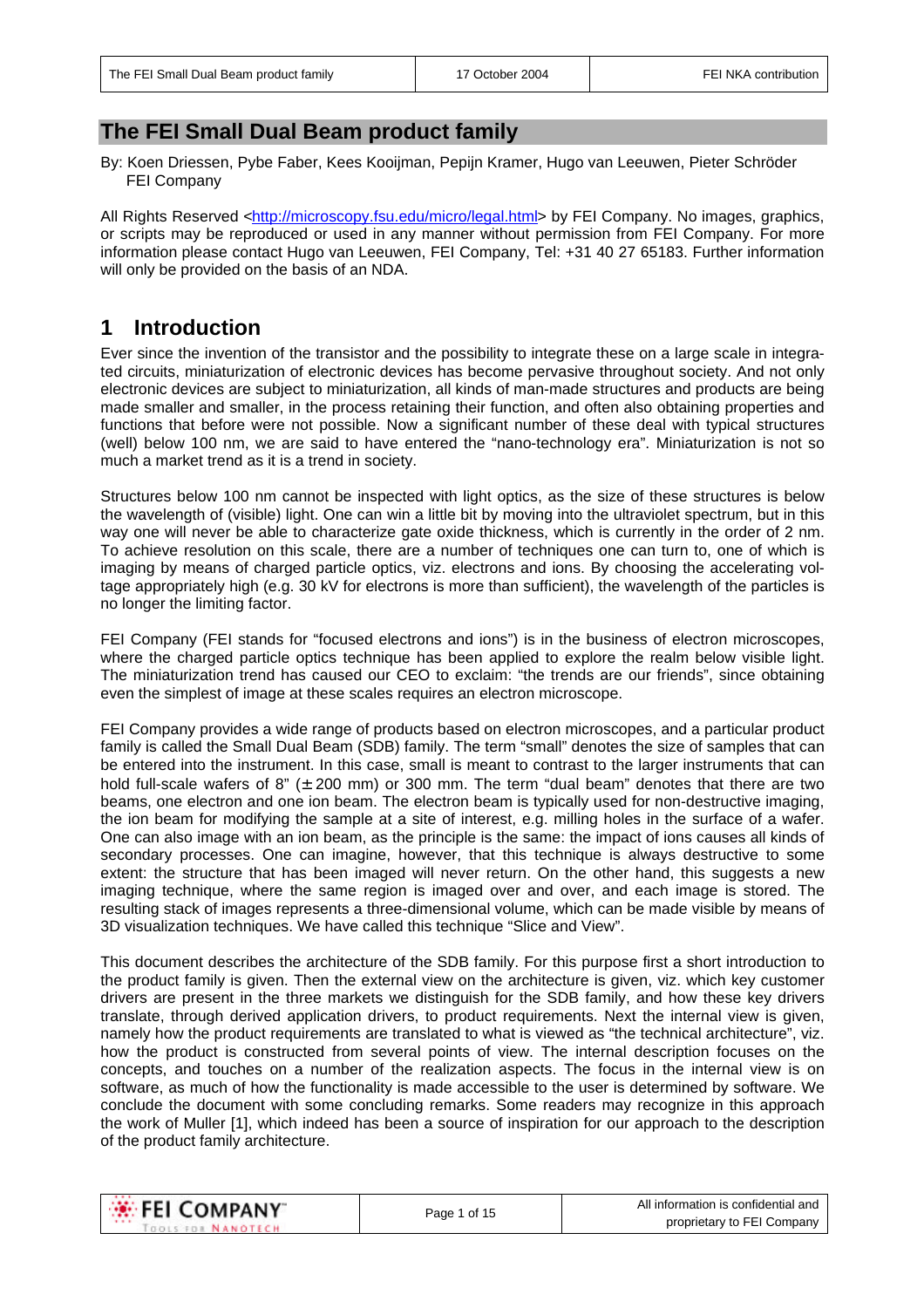# **The FEI Small Dual Beam product family**

By: Koen Driessen, Pybe Faber, Kees Kooijman, Pepijn Kramer, Hugo van Leeuwen, Pieter Schröder FEI Company

All Rights Reserved <http://microscopy.fsu.edu/micro/legal.html> by FEI Company. No images, graphics, or scripts may be reproduced or used in any manner without permission from FEI Company. For more information please contact Hugo van Leeuwen, FEI Company, Tel: +31 40 27 65183. Further information will only be provided on the basis of an NDA.

# **1 Introduction**

Ever since the invention of the transistor and the possibility to integrate these on a large scale in integrated circuits, miniaturization of electronic devices has become pervasive throughout society. And not only electronic devices are subject to miniaturization, all kinds of man-made structures and products are being made smaller and smaller, in the process retaining their function, and often also obtaining properties and functions that before were not possible. Now a significant number of these deal with typical structures (well) below 100 nm, we are said to have entered the "nano-technology era". Miniaturization is not so much a market trend as it is a trend in society.

Structures below 100 nm cannot be inspected with light optics, as the size of these structures is below the wavelength of (visible) light. One can win a little bit by moving into the ultraviolet spectrum, but in this way one will never be able to characterize gate oxide thickness, which is currently in the order of 2 nm. To achieve resolution on this scale, there are a number of techniques one can turn to, one of which is imaging by means of charged particle optics, viz. electrons and ions. By choosing the accelerating voltage appropriately high (e.g. 30 kV for electrons is more than sufficient), the wavelength of the particles is no longer the limiting factor.

FEI Company (FEI stands for "focused electrons and ions") is in the business of electron microscopes, where the charged particle optics technique has been applied to explore the realm below visible light. The miniaturization trend has caused our CEO to exclaim: "the trends are our friends", since obtaining even the simplest of image at these scales requires an electron microscope.

FEI Company provides a wide range of products based on electron microscopes, and a particular product family is called the Small Dual Beam (SDB) family. The term "small" denotes the size of samples that can be entered into the instrument. In this case, small is meant to contrast to the larger instruments that can hold full-scale wafers of 8" ( $\pm$  200 mm) or 300 mm. The term "dual beam" denotes that there are two beams, one electron and one ion beam. The electron beam is typically used for non-destructive imaging, the ion beam for modifying the sample at a site of interest, e.g. milling holes in the surface of a wafer. One can also image with an ion beam, as the principle is the same: the impact of ions causes all kinds of secondary processes. One can imagine, however, that this technique is always destructive to some extent: the structure that has been imaged will never return. On the other hand, this suggests a new imaging technique, where the same region is imaged over and over, and each image is stored. The resulting stack of images represents a three-dimensional volume, which can be made visible by means of 3D visualization techniques. We have called this technique "Slice and View".

This document describes the architecture of the SDB family. For this purpose first a short introduction to the product family is given. Then the external view on the architecture is given, viz. which key customer drivers are present in the three markets we distinguish for the SDB family, and how these key drivers translate, through derived application drivers, to product requirements. Next the internal view is given, namely how the product requirements are translated to what is viewed as "the technical architecture", viz. how the product is constructed from several points of view. The internal description focuses on the concepts, and touches on a number of the realization aspects. The focus in the internal view is on software, as much of how the functionality is made accessible to the user is determined by software. We conclude the document with some concluding remarks. Some readers may recognize in this approach the work of Muller [1], which indeed has been a source of inspiration for our approach to the description of the product family architecture.

| <b>EXECTED COMPANY</b>    | Page 1 of 15 | All information is confidential and |
|---------------------------|--------------|-------------------------------------|
| <b>TOOLS FOR NANOTECH</b> |              | proprietary to FEI Company          |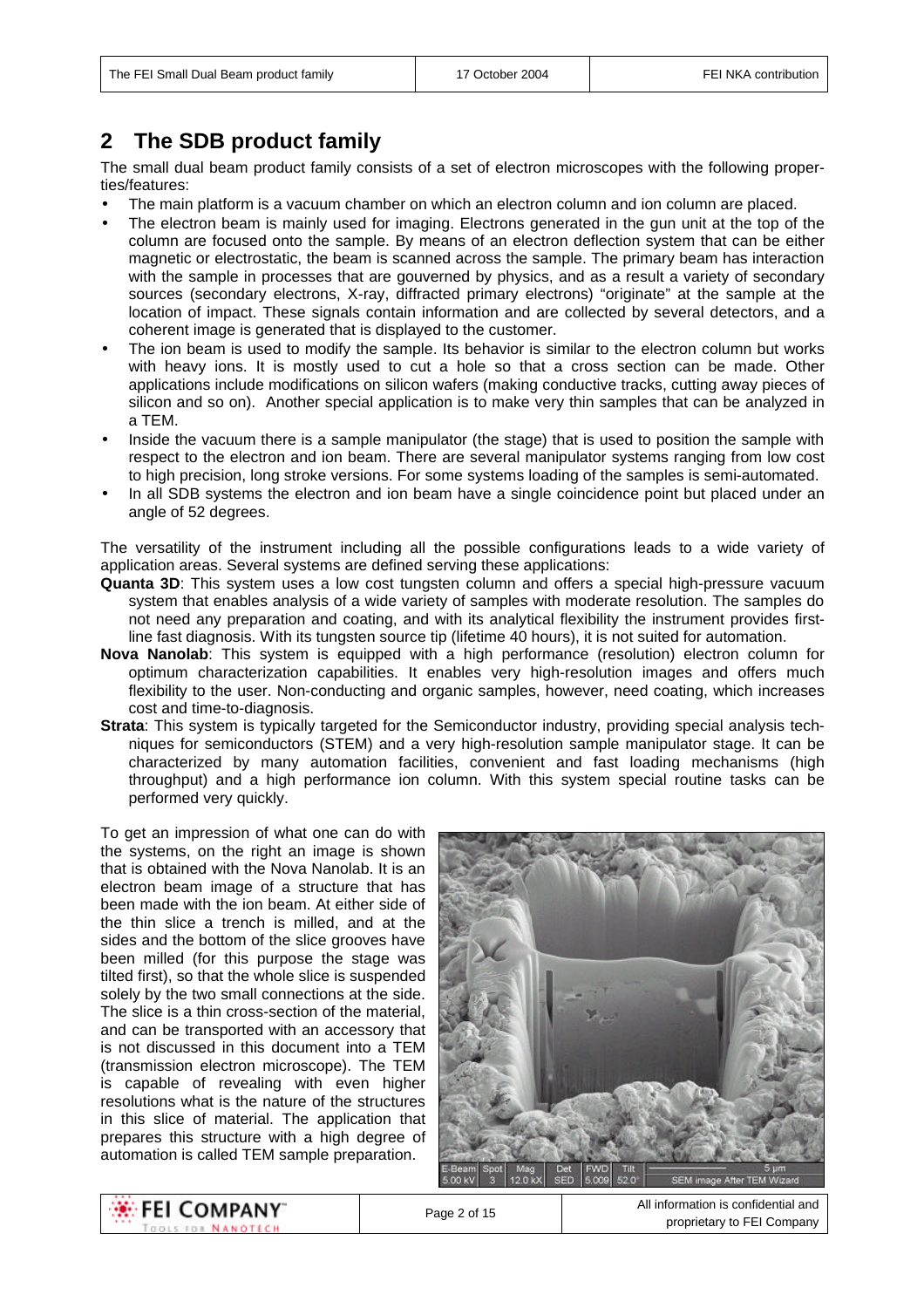# **2 The SDB product family**

The small dual beam product family consists of a set of electron microscopes with the following properties/features:

- The main platform is a vacuum chamber on which an electron column and ion column are placed.
- The electron beam is mainly used for imaging. Electrons generated in the gun unit at the top of the column are focused onto the sample. By means of an electron deflection system that can be either magnetic or electrostatic, the beam is scanned across the sample. The primary beam has interaction with the sample in processes that are gouverned by physics, and as a result a variety of secondary sources (secondary electrons, X-ray, diffracted primary electrons) "originate" at the sample at the location of impact. These signals contain information and are collected by several detectors, and a coherent image is generated that is displayed to the customer.
- The ion beam is used to modify the sample. Its behavior is similar to the electron column but works with heavy ions. It is mostly used to cut a hole so that a cross section can be made. Other applications include modifications on silicon wafers (making conductive tracks, cutting away pieces of silicon and so on). Another special application is to make very thin samples that can be analyzed in a TEM.
- Inside the vacuum there is a sample manipulator (the stage) that is used to position the sample with respect to the electron and ion beam. There are several manipulator systems ranging from low cost to high precision, long stroke versions. For some systems loading of the samples is semi-automated.
- In all SDB systems the electron and ion beam have a single coincidence point but placed under an angle of 52 degrees.

The versatility of the instrument including all the possible configurations leads to a wide variety of application areas. Several systems are defined serving these applications:

- **Quanta 3D**: This system uses a low cost tungsten column and offers a special high-pressure vacuum system that enables analysis of a wide variety of samples with moderate resolution. The samples do not need any preparation and coating, and with its analytical flexibility the instrument provides firstline fast diagnosis. With its tungsten source tip (lifetime 40 hours), it is not suited for automation.
- **Nova Nanolab**: This system is equipped with a high performance (resolution) electron column for optimum characterization capabilities. It enables very high-resolution images and offers much flexibility to the user. Non-conducting and organic samples, however, need coating, which increases cost and time-to-diagnosis.
- **Strata**: This system is typically targeted for the Semiconductor industry, providing special analysis techniques for semiconductors (STEM) and a very high-resolution sample manipulator stage. It can be characterized by many automation facilities, convenient and fast loading mechanisms (high throughput) and a high performance ion column. With this system special routine tasks can be performed very quickly.

To get an impression of what one can do with the systems, on the right an image is shown that is obtained with the Nova Nanolab. It is an electron beam image of a structure that has been made with the ion beam. At either side of the thin slice a trench is milled, and at the sides and the bottom of the slice grooves have been milled (for this purpose the stage was tilted first), so that the whole slice is suspended solely by the two small connections at the side. The slice is a thin cross-section of the material, and can be transported with an accessory that is not discussed in this document into a TEM (transmission electron microscope). The TEM is capable of revealing with even higher resolutions what is the nature of the structures in this slice of material. The application that prepares this structure with a high degree of automation is called TEM sample preparation.



Page 2 of 15 All information is confidential and<br>
Page 2 of 15 proprietary to FEI Company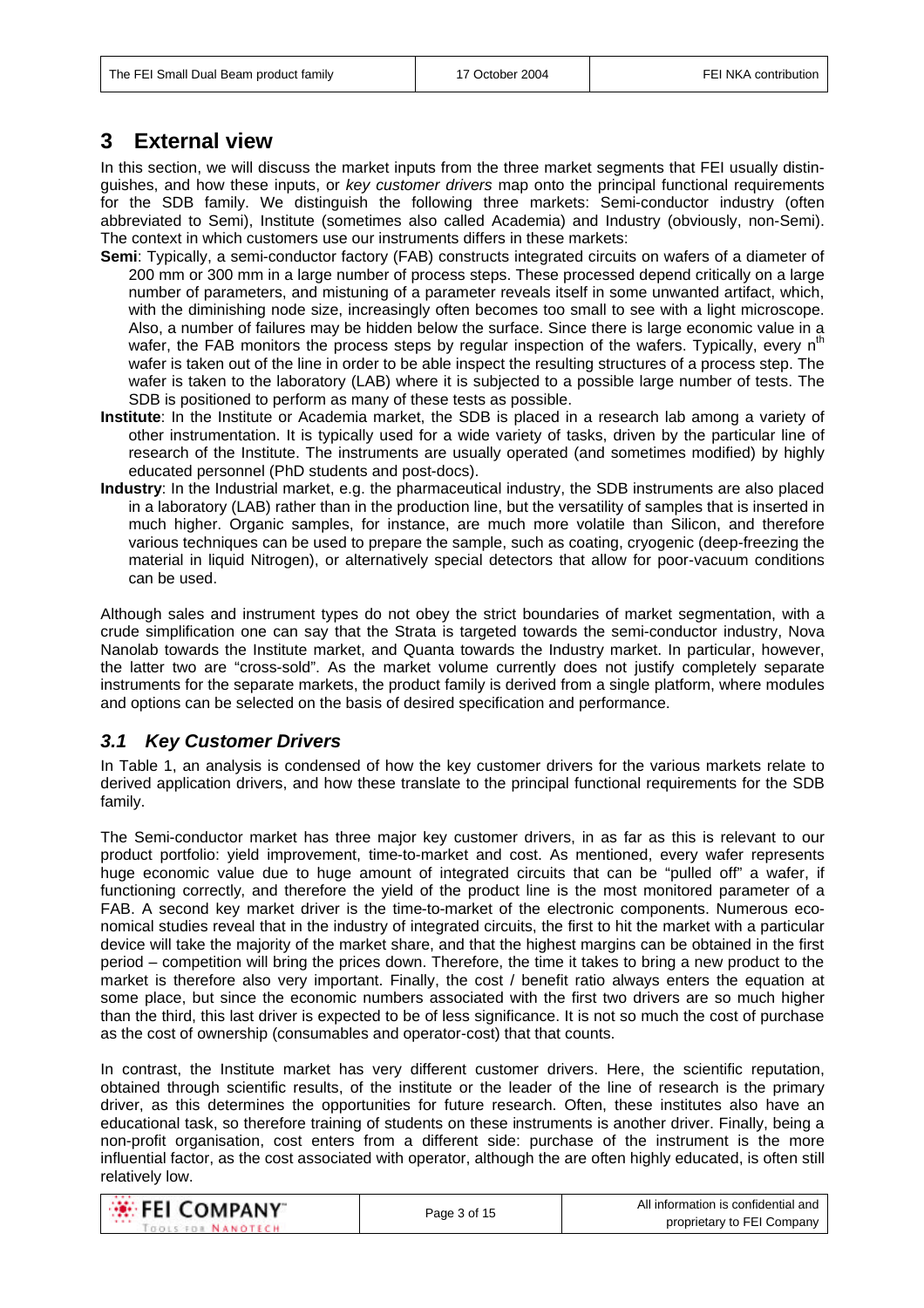### **3 External view**

In this section, we will discuss the market inputs from the three market segments that FEI usually distinguishes, and how these inputs, or *key customer drivers* map onto the principal functional requirements for the SDB family. We distinguish the following three markets: Semi-conductor industry (often abbreviated to Semi), Institute (sometimes also called Academia) and Industry (obviously, non-Semi). The context in which customers use our instruments differs in these markets:

- **Semi**: Typically, a semi-conductor factory (FAB) constructs integrated circuits on wafers of a diameter of 200 mm or 300 mm in a large number of process steps. These processed depend critically on a large number of parameters, and mistuning of a parameter reveals itself in some unwanted artifact, which, with the diminishing node size, increasingly often becomes too small to see with a light microscope. Also, a number of failures may be hidden below the surface. Since there is large economic value in a wafer, the FAB monitors the process steps by regular inspection of the wafers. Typically, every n<sup>th</sup> wafer is taken out of the line in order to be able inspect the resulting structures of a process step. The wafer is taken to the laboratory (LAB) where it is subjected to a possible large number of tests. The SDB is positioned to perform as many of these tests as possible.
- **Institute**: In the Institute or Academia market, the SDB is placed in a research lab among a variety of other instrumentation. It is typically used for a wide variety of tasks, driven by the particular line of research of the Institute. The instruments are usually operated (and sometimes modified) by highly educated personnel (PhD students and post-docs).
- **Industry**: In the Industrial market, e.g. the pharmaceutical industry, the SDB instruments are also placed in a laboratory (LAB) rather than in the production line, but the versatility of samples that is inserted in much higher. Organic samples, for instance, are much more volatile than Silicon, and therefore various techniques can be used to prepare the sample, such as coating, cryogenic (deep-freezing the material in liquid Nitrogen), or alternatively special detectors that allow for poor-vacuum conditions can be used.

Although sales and instrument types do not obey the strict boundaries of market segmentation, with a crude simplification one can say that the Strata is targeted towards the semi-conductor industry, Nova Nanolab towards the Institute market, and Quanta towards the Industry market. In particular, however, the latter two are "cross-sold". As the market volume currently does not justify completely separate instruments for the separate markets, the product family is derived from a single platform, where modules and options can be selected on the basis of desired specification and performance.

### *3.1 Key Customer Drivers*

In Table 1, an analysis is condensed of how the key customer drivers for the various markets relate to derived application drivers, and how these translate to the principal functional requirements for the SDB family.

The Semi-conductor market has three major key customer drivers, in as far as this is relevant to our product portfolio: yield improvement, time-to-market and cost. As mentioned, every wafer represents huge economic value due to huge amount of integrated circuits that can be "pulled off" a wafer, if functioning correctly, and therefore the yield of the product line is the most monitored parameter of a FAB. A second key market driver is the time-to-market of the electronic components. Numerous economical studies reveal that in the industry of integrated circuits, the first to hit the market with a particular device will take the majority of the market share, and that the highest margins can be obtained in the first period – competition will bring the prices down. Therefore, the time it takes to bring a new product to the market is therefore also very important. Finally, the cost / benefit ratio always enters the equation at some place, but since the economic numbers associated with the first two drivers are so much higher than the third, this last driver is expected to be of less significance. It is not so much the cost of purchase as the cost of ownership (consumables and operator-cost) that that counts.

In contrast, the Institute market has very different customer drivers. Here, the scientific reputation, obtained through scientific results, of the institute or the leader of the line of research is the primary driver, as this determines the opportunities for future research. Often, these institutes also have an educational task, so therefore training of students on these instruments is another driver. Finally, being a non-profit organisation, cost enters from a different side: purchase of the instrument is the more influential factor, as the cost associated with operator, although the are often highly educated, is often still relatively low.

| <b>EXECTED COMPANY</b>    | Page 3 of 15 | All information is confidential and |
|---------------------------|--------------|-------------------------------------|
| <b>TODIS IDE NANOTECH</b> |              | proprietary to FEI Company          |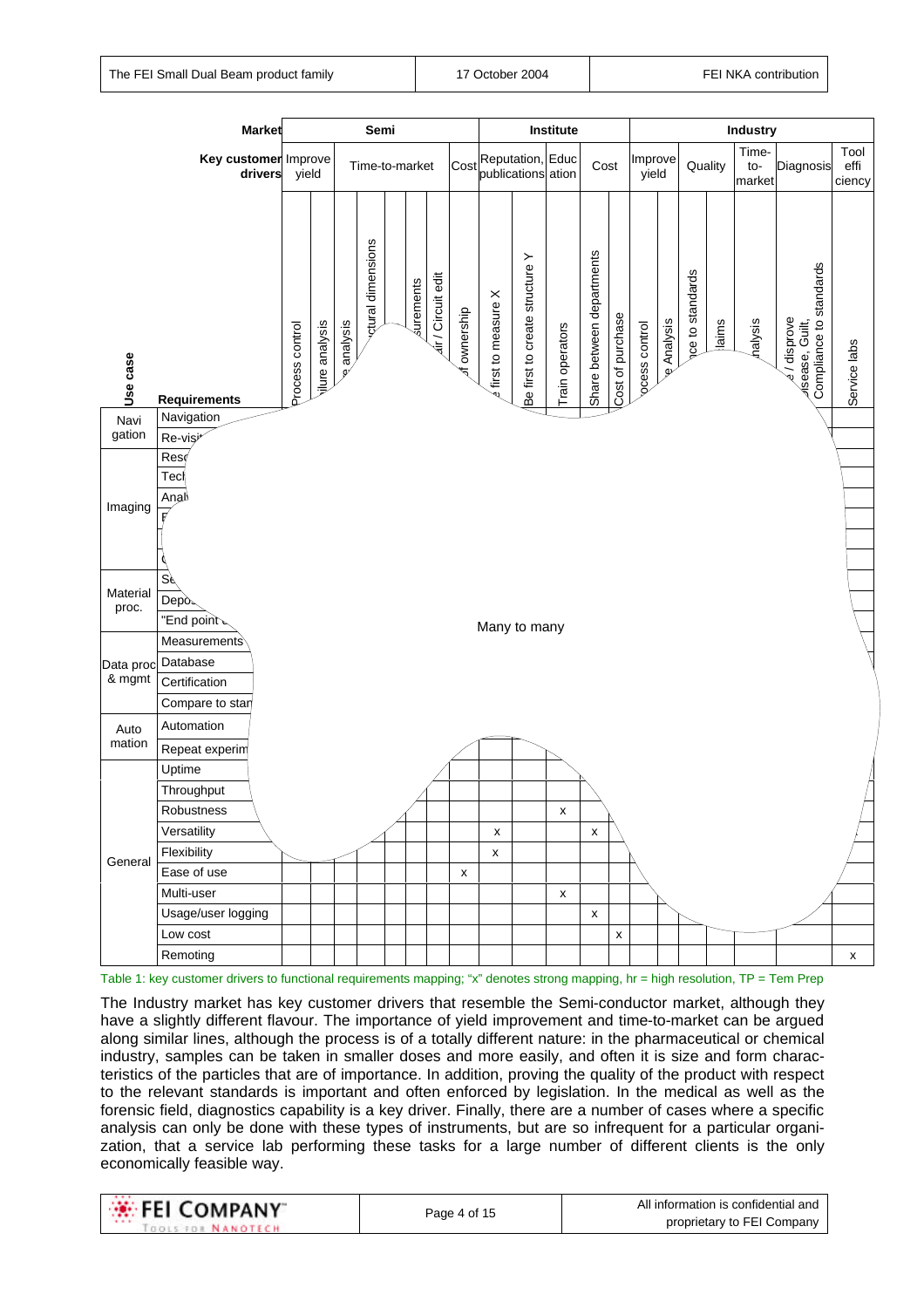#### The FEI Small Dual Beam product family 17 October 2004 FEI NKA contribution



Table 1: key customer drivers to functional requirements mapping; "x" denotes strong mapping, hr = high resolution, TP = Tem Prep

The Industry market has key customer drivers that resemble the Semi-conductor market, although they have a slightly different flavour. The importance of yield improvement and time-to-market can be argued along similar lines, although the process is of a totally different nature: in the pharmaceutical or chemical industry, samples can be taken in smaller doses and more easily, and often it is size and form characteristics of the particles that are of importance. In addition, proving the quality of the product with respect to the relevant standards is important and often enforced by legislation. In the medical as well as the forensic field, diagnostics capability is a key driver. Finally, there are a number of cases where a specific analysis can only be done with these types of instruments, but are so infrequent for a particular organization, that a service lab performing these tasks for a large number of different clients is the only economically feasible way.

| <b>EXECTED COMPANY</b><br>tha NAMOT | Page 4 of 15 | All information is confidential and "<br>proprietary to FEI Company |
|-------------------------------------|--------------|---------------------------------------------------------------------|
|-------------------------------------|--------------|---------------------------------------------------------------------|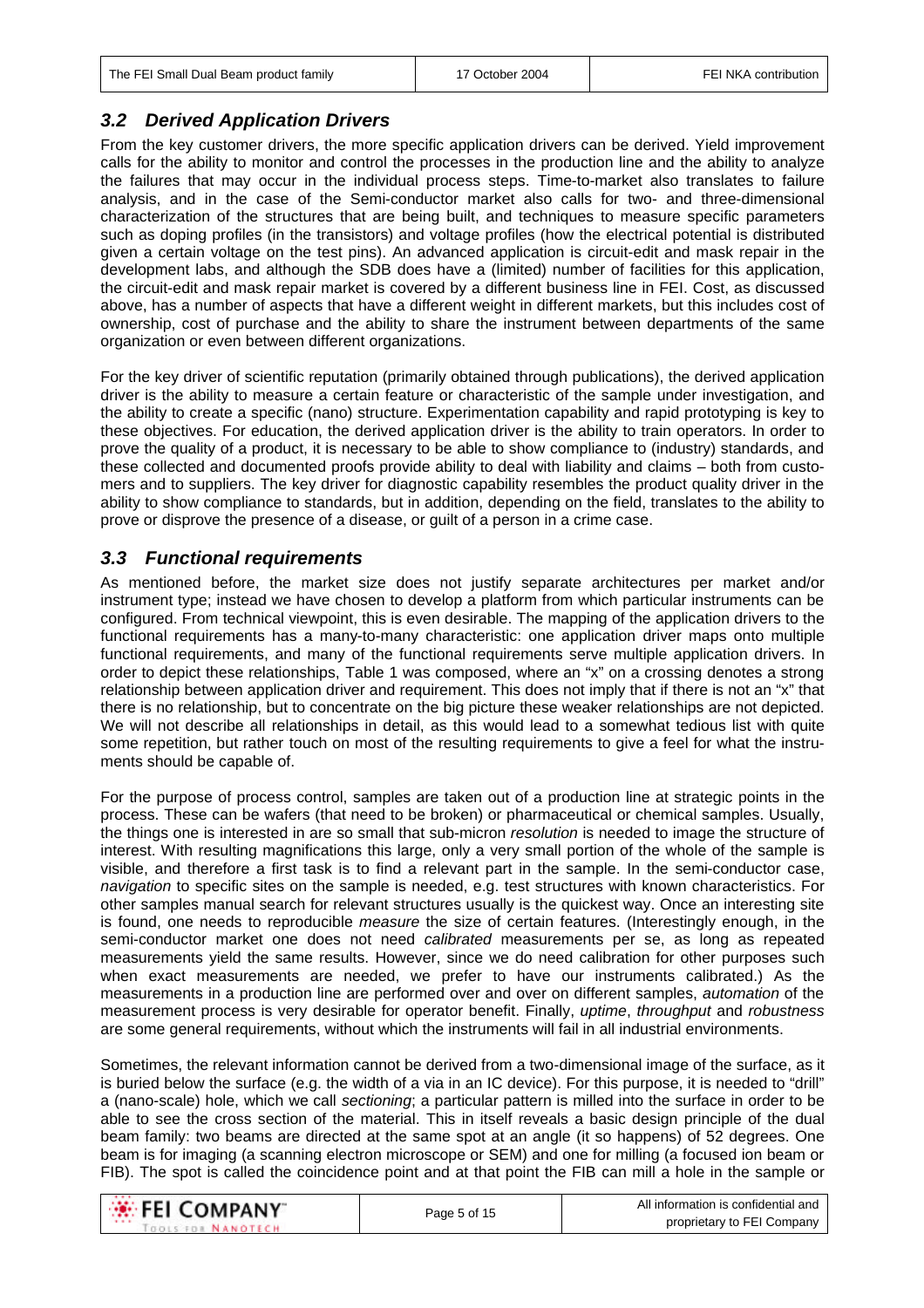| The FEI Small Dual Beam product family | 17 October 2004 | <b>FEI NKA contribution</b> |
|----------------------------------------|-----------------|-----------------------------|
|                                        |                 |                             |

# *3.2 Derived Application Drivers*

From the key customer drivers, the more specific application drivers can be derived. Yield improvement calls for the ability to monitor and control the processes in the production line and the ability to analyze the failures that may occur in the individual process steps. Time-to-market also translates to failure analysis, and in the case of the Semi-conductor market also calls for two- and three-dimensional characterization of the structures that are being built, and techniques to measure specific parameters such as doping profiles (in the transistors) and voltage profiles (how the electrical potential is distributed given a certain voltage on the test pins). An advanced application is circuit-edit and mask repair in the development labs, and although the SDB does have a (limited) number of facilities for this application, the circuit-edit and mask repair market is covered by a different business line in FEI. Cost, as discussed above, has a number of aspects that have a different weight in different markets, but this includes cost of ownership, cost of purchase and the ability to share the instrument between departments of the same organization or even between different organizations.

For the key driver of scientific reputation (primarily obtained through publications), the derived application driver is the ability to measure a certain feature or characteristic of the sample under investigation, and the ability to create a specific (nano) structure. Experimentation capability and rapid prototyping is key to these objectives. For education, the derived application driver is the ability to train operators. In order to prove the quality of a product, it is necessary to be able to show compliance to (industry) standards, and these collected and documented proofs provide ability to deal with liability and claims – both from customers and to suppliers. The key driver for diagnostic capability resembles the product quality driver in the ability to show compliance to standards, but in addition, depending on the field, translates to the ability to prove or disprove the presence of a disease, or guilt of a person in a crime case.

# *3.3 Functional requirements*

As mentioned before, the market size does not justify separate architectures per market and/or instrument type; instead we have chosen to develop a platform from which particular instruments can be configured. From technical viewpoint, this is even desirable. The mapping of the application drivers to the functional requirements has a many-to-many characteristic: one application driver maps onto multiple functional requirements, and many of the functional requirements serve multiple application drivers. In order to depict these relationships, Table 1 was composed, where an "x" on a crossing denotes a strong relationship between application driver and requirement. This does not imply that if there is not an "x" that there is no relationship, but to concentrate on the big picture these weaker relationships are not depicted. We will not describe all relationships in detail, as this would lead to a somewhat tedious list with quite some repetition, but rather touch on most of the resulting requirements to give a feel for what the instruments should be capable of.

For the purpose of process control, samples are taken out of a production line at strategic points in the process. These can be wafers (that need to be broken) or pharmaceutical or chemical samples. Usually, the things one is interested in are so small that sub-micron *resolution* is needed to image the structure of interest. With resulting magnifications this large, only a very small portion of the whole of the sample is visible, and therefore a first task is to find a relevant part in the sample. In the semi-conductor case, *navigation* to specific sites on the sample is needed, e.g. test structures with known characteristics. For other samples manual search for relevant structures usually is the quickest way. Once an interesting site is found, one needs to reproducible *measure* the size of certain features. (Interestingly enough, in the semi-conductor market one does not need *calibrated* measurements per se, as long as repeated measurements yield the same results. However, since we do need calibration for other purposes such when exact measurements are needed, we prefer to have our instruments calibrated.) As the measurements in a production line are performed over and over on different samples, *automation* of the measurement process is very desirable for operator benefit. Finally, *uptime*, *throughput* and *robustness* are some general requirements, without which the instruments will fail in all industrial environments.

Sometimes, the relevant information cannot be derived from a two-dimensional image of the surface, as it is buried below the surface (e.g. the width of a via in an IC device). For this purpose, it is needed to "drill" a (nano-scale) hole, which we call *sectioning*; a particular pattern is milled into the surface in order to be able to see the cross section of the material. This in itself reveals a basic design principle of the dual beam family: two beams are directed at the same spot at an angle (it so happens) of 52 degrees. One beam is for imaging (a scanning electron microscope or SEM) and one for milling (a focused ion beam or FIB). The spot is called the coincidence point and at that point the FIB can mill a hole in the sample or

| <b>EXECTED COMPANY</b><br>Page 5 of 15<br><b>LOOLS FOR NANOTECH-</b> | All information is confidential and<br>proprietary to FEI Company |
|----------------------------------------------------------------------|-------------------------------------------------------------------|
|----------------------------------------------------------------------|-------------------------------------------------------------------|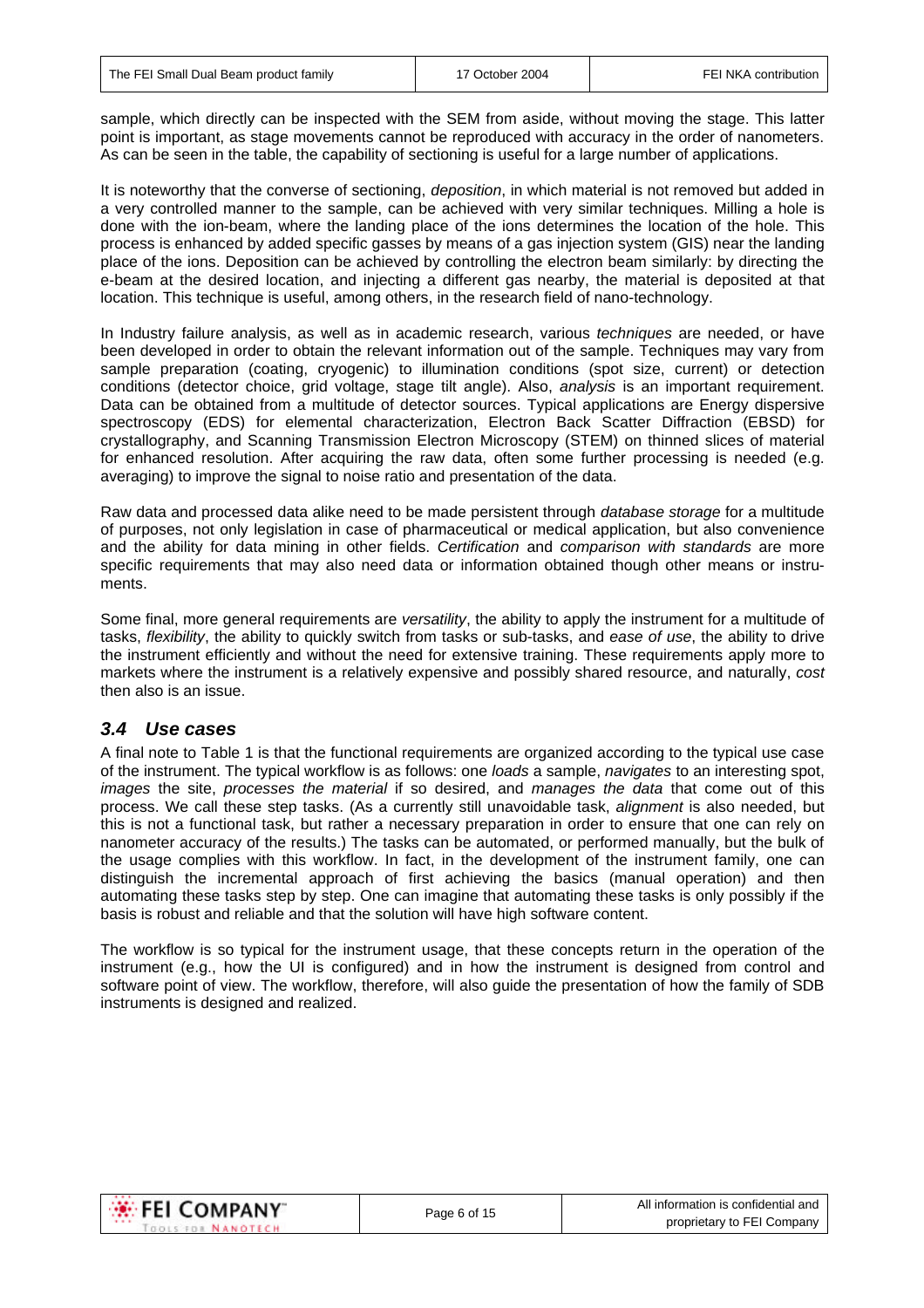sample, which directly can be inspected with the SEM from aside, without moving the stage. This latter point is important, as stage movements cannot be reproduced with accuracy in the order of nanometers. As can be seen in the table, the capability of sectioning is useful for a large number of applications.

It is noteworthy that the converse of sectioning, *deposition*, in which material is not removed but added in a very controlled manner to the sample, can be achieved with very similar techniques. Milling a hole is done with the ion-beam, where the landing place of the ions determines the location of the hole. This process is enhanced by added specific gasses by means of a gas injection system (GIS) near the landing place of the ions. Deposition can be achieved by controlling the electron beam similarly: by directing the e-beam at the desired location, and injecting a different gas nearby, the material is deposited at that location. This technique is useful, among others, in the research field of nano-technology.

In Industry failure analysis, as well as in academic research, various *techniques* are needed, or have been developed in order to obtain the relevant information out of the sample. Techniques may vary from sample preparation (coating, cryogenic) to illumination conditions (spot size, current) or detection conditions (detector choice, grid voltage, stage tilt angle). Also, *analysis* is an important requirement. Data can be obtained from a multitude of detector sources. Typical applications are Energy dispersive spectroscopy (EDS) for elemental characterization, Electron Back Scatter Diffraction (EBSD) for crystallography, and Scanning Transmission Electron Microscopy (STEM) on thinned slices of material for enhanced resolution. After acquiring the raw data, often some further processing is needed (e.g. averaging) to improve the signal to noise ratio and presentation of the data.

Raw data and processed data alike need to be made persistent through *database storage* for a multitude of purposes, not only legislation in case of pharmaceutical or medical application, but also convenience and the ability for data mining in other fields. *Certification* and *comparison with standards* are more specific requirements that may also need data or information obtained though other means or instruments.

Some final, more general requirements are *versatility*, the ability to apply the instrument for a multitude of tasks, *flexibility*, the ability to quickly switch from tasks or sub-tasks, and *ease of use*, the ability to drive the instrument efficiently and without the need for extensive training. These requirements apply more to markets where the instrument is a relatively expensive and possibly shared resource, and naturally, *cost* then also is an issue.

#### *3.4 Use cases*

A final note to Table 1 is that the functional requirements are organized according to the typical use case of the instrument. The typical workflow is as follows: one *loads* a sample, *navigates* to an interesting spot, *images* the site, *processes the material* if so desired, and *manages the data* that come out of this process. We call these step tasks. (As a currently still unavoidable task, *alignment* is also needed, but this is not a functional task, but rather a necessary preparation in order to ensure that one can rely on nanometer accuracy of the results.) The tasks can be automated, or performed manually, but the bulk of the usage complies with this workflow. In fact, in the development of the instrument family, one can distinguish the incremental approach of first achieving the basics (manual operation) and then automating these tasks step by step. One can imagine that automating these tasks is only possibly if the basis is robust and reliable and that the solution will have high software content.

The workflow is so typical for the instrument usage, that these concepts return in the operation of the instrument (e.g., how the UI is configured) and in how the instrument is designed from control and software point of view. The workflow, therefore, will also guide the presentation of how the family of SDB instruments is designed and realized.

|  | <b>WE FEI COMPANY</b> |
|--|-----------------------|
|  |                       |
|  | Tonic the NAMOTECH    |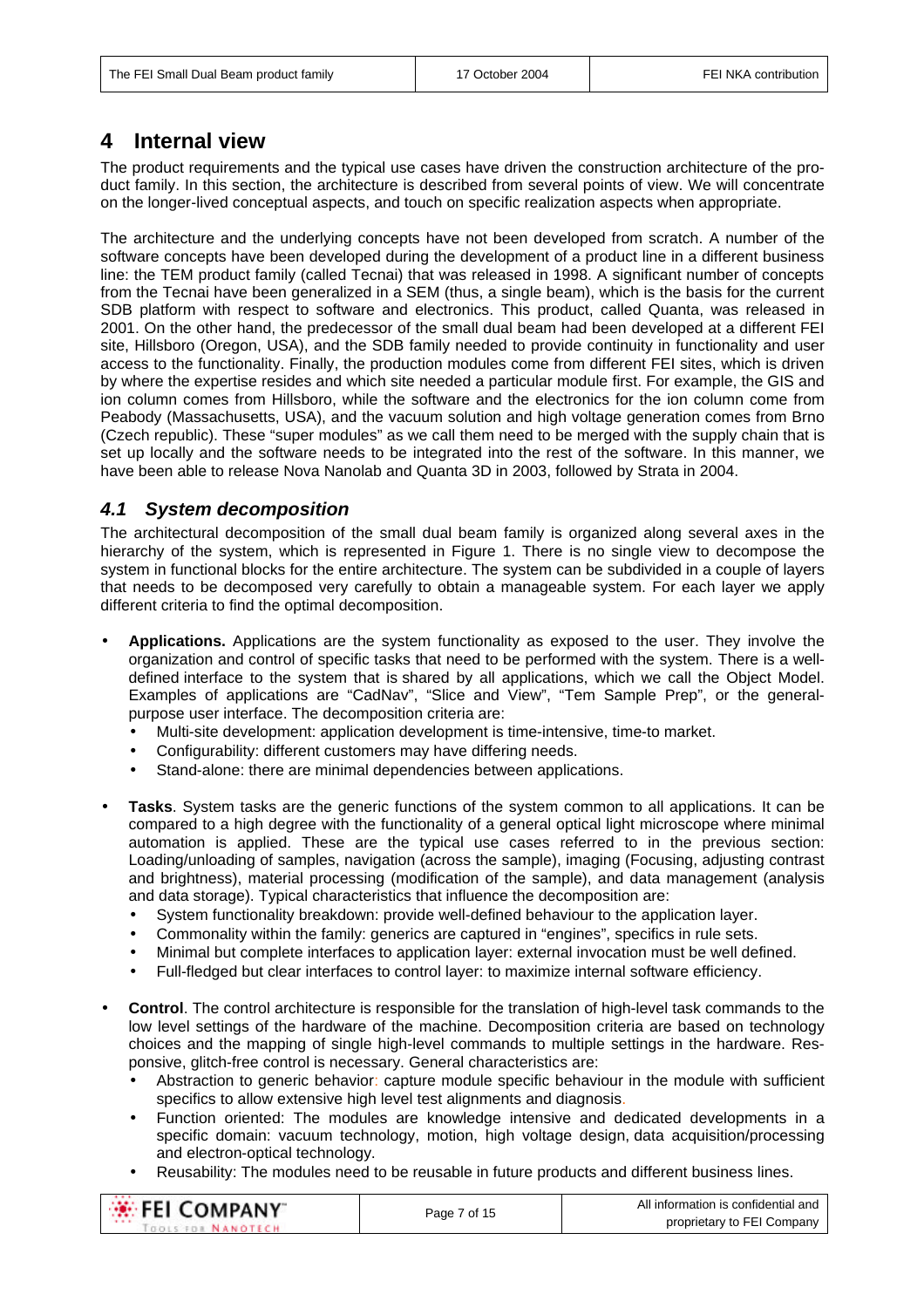# **4 Internal view**

The product requirements and the typical use cases have driven the construction architecture of the product family. In this section, the architecture is described from several points of view. We will concentrate on the longer-lived conceptual aspects, and touch on specific realization aspects when appropriate.

The architecture and the underlying concepts have not been developed from scratch. A number of the software concepts have been developed during the development of a product line in a different business line: the TEM product family (called Tecnai) that was released in 1998. A significant number of concepts from the Tecnai have been generalized in a SEM (thus, a single beam), which is the basis for the current SDB platform with respect to software and electronics. This product, called Quanta, was released in 2001. On the other hand, the predecessor of the small dual beam had been developed at a different FEI site, Hillsboro (Oregon, USA), and the SDB family needed to provide continuity in functionality and user access to the functionality. Finally, the production modules come from different FEI sites, which is driven by where the expertise resides and which site needed a particular module first. For example, the GIS and ion column comes from Hillsboro, while the software and the electronics for the ion column come from Peabody (Massachusetts, USA), and the vacuum solution and high voltage generation comes from Brno (Czech republic). These "super modules" as we call them need to be merged with the supply chain that is set up locally and the software needs to be integrated into the rest of the software. In this manner, we have been able to release Nova Nanolab and Quanta 3D in 2003, followed by Strata in 2004.

### *4.1 System decomposition*

The architectural decomposition of the small dual beam family is organized along several axes in the hierarchy of the system, which is represented in Figure 1. There is no single view to decompose the system in functional blocks for the entire architecture. The system can be subdivided in a couple of layers that needs to be decomposed very carefully to obtain a manageable system. For each layer we apply different criteria to find the optimal decomposition.

- **Applications.** Applications are the system functionality as exposed to the user. They involve the organization and control of specific tasks that need to be performed with the system. There is a welldefined interface to the system that is shared by all applications, which we call the Object Model. Examples of applications are "CadNav", "Slice and View", "Tem Sample Prep", or the generalpurpose user interface. The decomposition criteria are:
	- Multi-site development: application development is time-intensive, time-to market.
	- Configurability: different customers may have differing needs.
	- Stand-alone: there are minimal dependencies between applications.
- **Tasks**. System tasks are the generic functions of the system common to all applications. It can be compared to a high degree with the functionality of a general optical light microscope where minimal automation is applied. These are the typical use cases referred to in the previous section: Loading/unloading of samples, navigation (across the sample), imaging (Focusing, adjusting contrast and brightness), material processing (modification of the sample), and data management (analysis and data storage). Typical characteristics that influence the decomposition are:
	- System functionality breakdown: provide well-defined behaviour to the application layer.
	- Commonality within the family: generics are captured in "engines", specifics in rule sets.
	- Minimal but complete interfaces to application layer: external invocation must be well defined.
	- Full-fledged but clear interfaces to control layer: to maximize internal software efficiency.
- **Control**. The control architecture is responsible for the translation of high-level task commands to the low level settings of the hardware of the machine. Decomposition criteria are based on technology choices and the mapping of single high-level commands to multiple settings in the hardware. Responsive, glitch-free control is necessary. General characteristics are:
	- Abstraction to generic behavior: capture module specific behaviour in the module with sufficient specifics to allow extensive high level test alignments and diagnosis.
	- Function oriented: The modules are knowledge intensive and dedicated developments in a specific domain: vacuum technology, motion, high voltage design, data acquisition/processing and electron-optical technology.
	- Reusability: The modules need to be reusable in future products and different business lines.

| <b>WE FEI COMPANY</b>     | Page 7 of 15 | All information is confidential and |
|---------------------------|--------------|-------------------------------------|
| <b>TOOLS FOR NANOTECH</b> |              | proprietary to FEI Company          |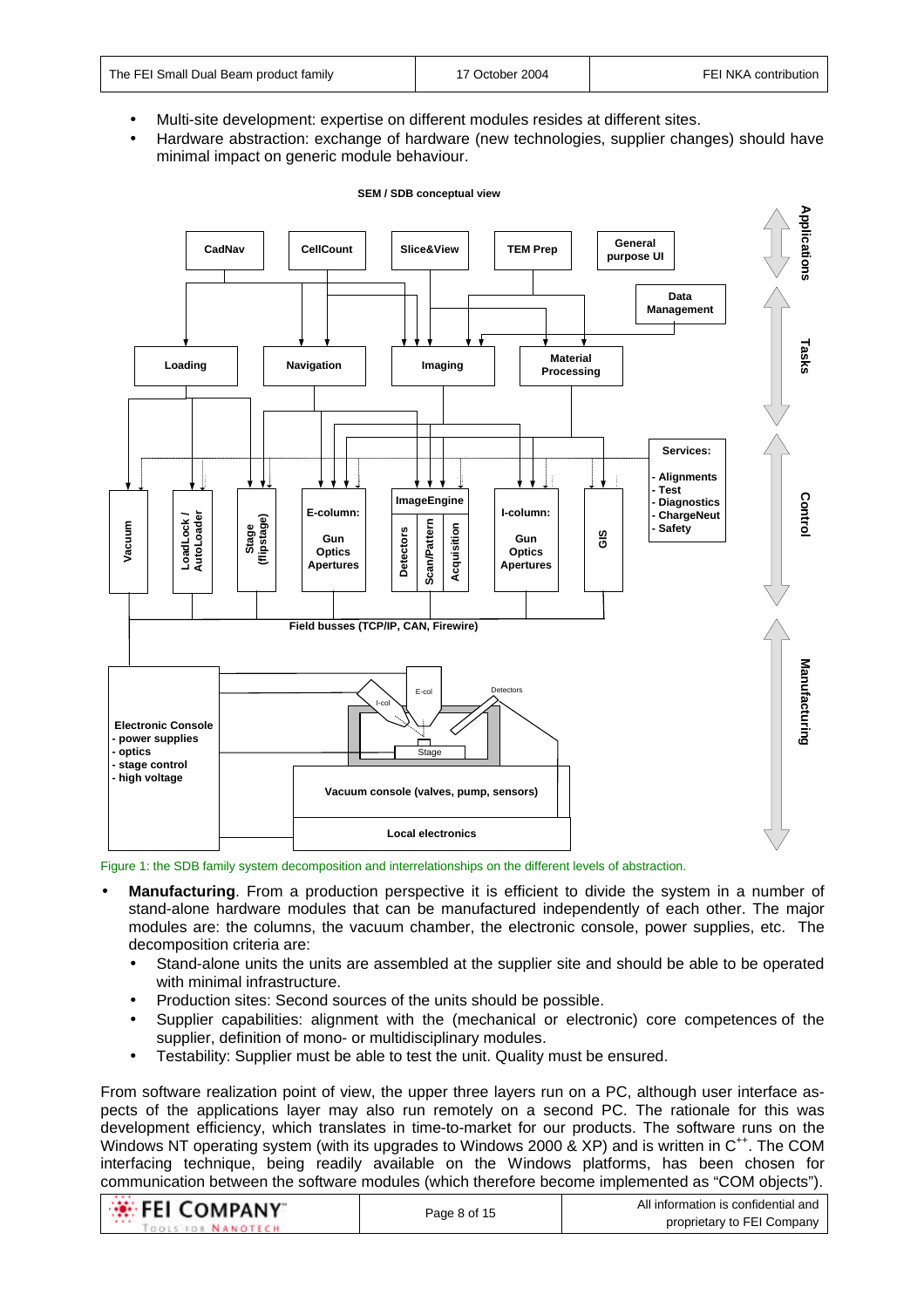- Multi-site development: expertise on different modules resides at different sites.
- Hardware abstraction: exchange of hardware (new technologies, supplier changes) should have minimal impact on generic module behaviour.



**SEM / SDB conceptual view**

Figure 1: the SDB family system decomposition and interrelationships on the different levels of abstraction.

- **Manufacturing**. From a production perspective it is efficient to divide the system in a number of stand-alone hardware modules that can be manufactured independently of each other. The major modules are: the columns, the vacuum chamber, the electronic console, power supplies, etc. The decomposition criteria are:
	- Stand-alone units the units are assembled at the supplier site and should be able to be operated with minimal infrastructure.
	- Production sites: Second sources of the units should be possible.
	- Supplier capabilities: alignment with the (mechanical or electronic) core competences of the supplier, definition of mono- or multidisciplinary modules.
	- Testability: Supplier must be able to test the unit. Quality must be ensured.

From software realization point of view, the upper three layers run on a PC, although user interface aspects of the applications layer may also run remotely on a second PC. The rationale for this was development efficiency, which translates in time-to-market for our products. The software runs on the Windows NT operating system (with its upgrades to Windows 2000 & XP) and is written in  $C^{++}$ . The COM interfacing technique, being readily available on the Windows platforms, has been chosen for communication between the software modules (which therefore become implemented as "COM objects").

| <b>EXECTED COMPANY</b>           | Page 8 of 15 | All information is confidential and |
|----------------------------------|--------------|-------------------------------------|
| <b><i>LOOLS FOR NANOTECH</i></b> |              | proprietary to FEI Company          |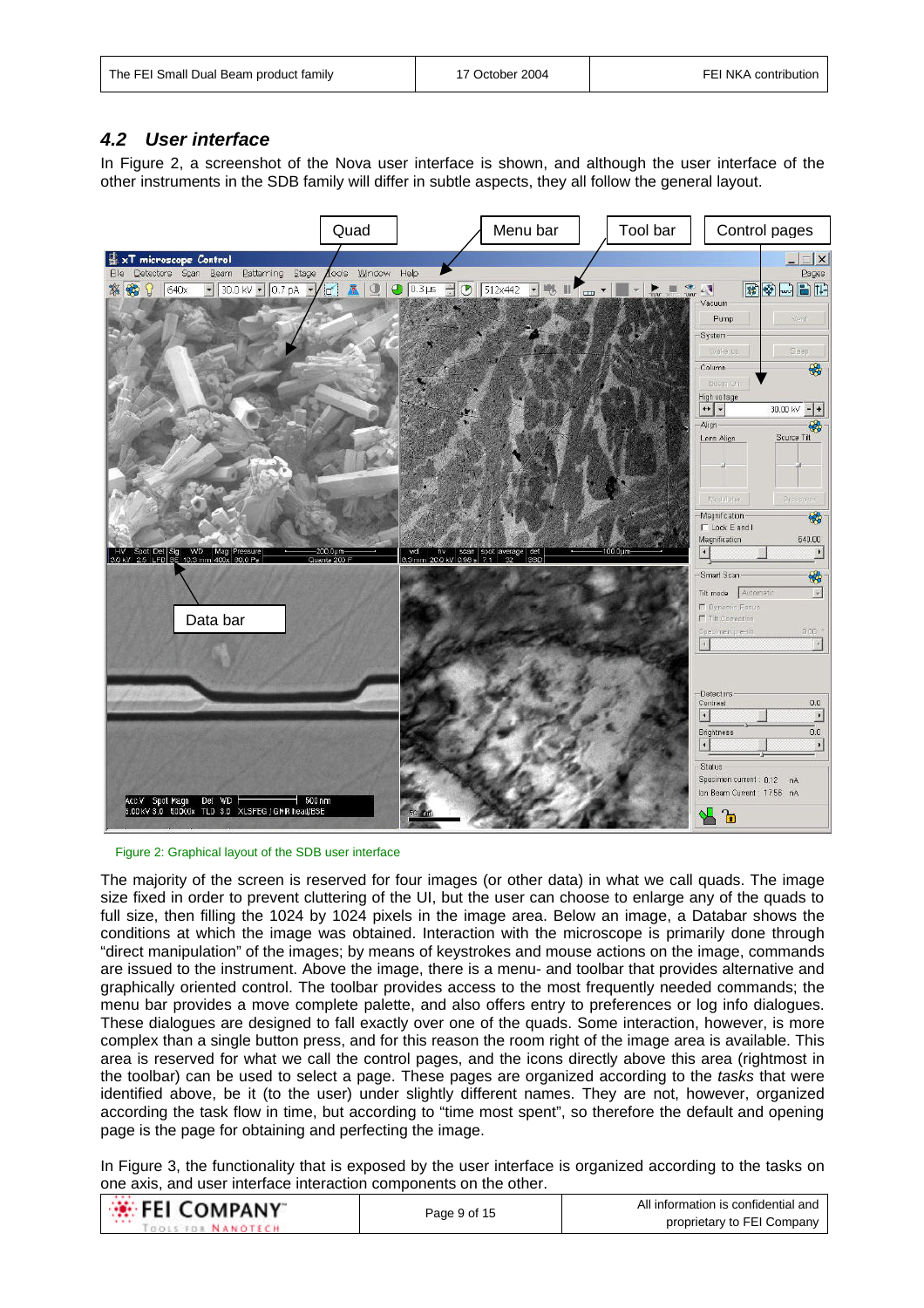# *4.2 User interface*

In Figure 2, a screenshot of the Nova user interface is shown, and although the user interface of the other instruments in the SDB family will differ in subtle aspects, they all follow the general layout.



Figure 2: Graphical layout of the SDB user interface

The majority of the screen is reserved for four images (or other data) in what we call quads. The image size fixed in order to prevent cluttering of the UI, but the user can choose to enlarge any of the quads to full size, then filling the 1024 by 1024 pixels in the image area. Below an image, a Databar shows the conditions at which the image was obtained. Interaction with the microscope is primarily done through "direct manipulation" of the images; by means of keystrokes and mouse actions on the image, commands are issued to the instrument. Above the image, there is a menu- and toolbar that provides alternative and graphically oriented control. The toolbar provides access to the most frequently needed commands; the menu bar provides a move complete palette, and also offers entry to preferences or log info dialogues. These dialogues are designed to fall exactly over one of the quads. Some interaction, however, is more complex than a single button press, and for this reason the room right of the image area is available. This area is reserved for what we call the control pages, and the icons directly above this area (rightmost in the toolbar) can be used to select a page. These pages are organized according to the *tasks* that were identified above, be it (to the user) under slightly different names. They are not, however, organized according the task flow in time, but according to "time most spent", so therefore the default and opening page is the page for obtaining and perfecting the image.

In Figure 3, the functionality that is exposed by the user interface is organized according to the tasks on one axis, and user interface interaction components on the other.

| <b>EXECTED COMPANY</b> | Page 9 of 15 | All information is confidential and |
|------------------------|--------------|-------------------------------------|
| TOOLS TOR NANOTECH.    |              | proprietary to FEI Company          |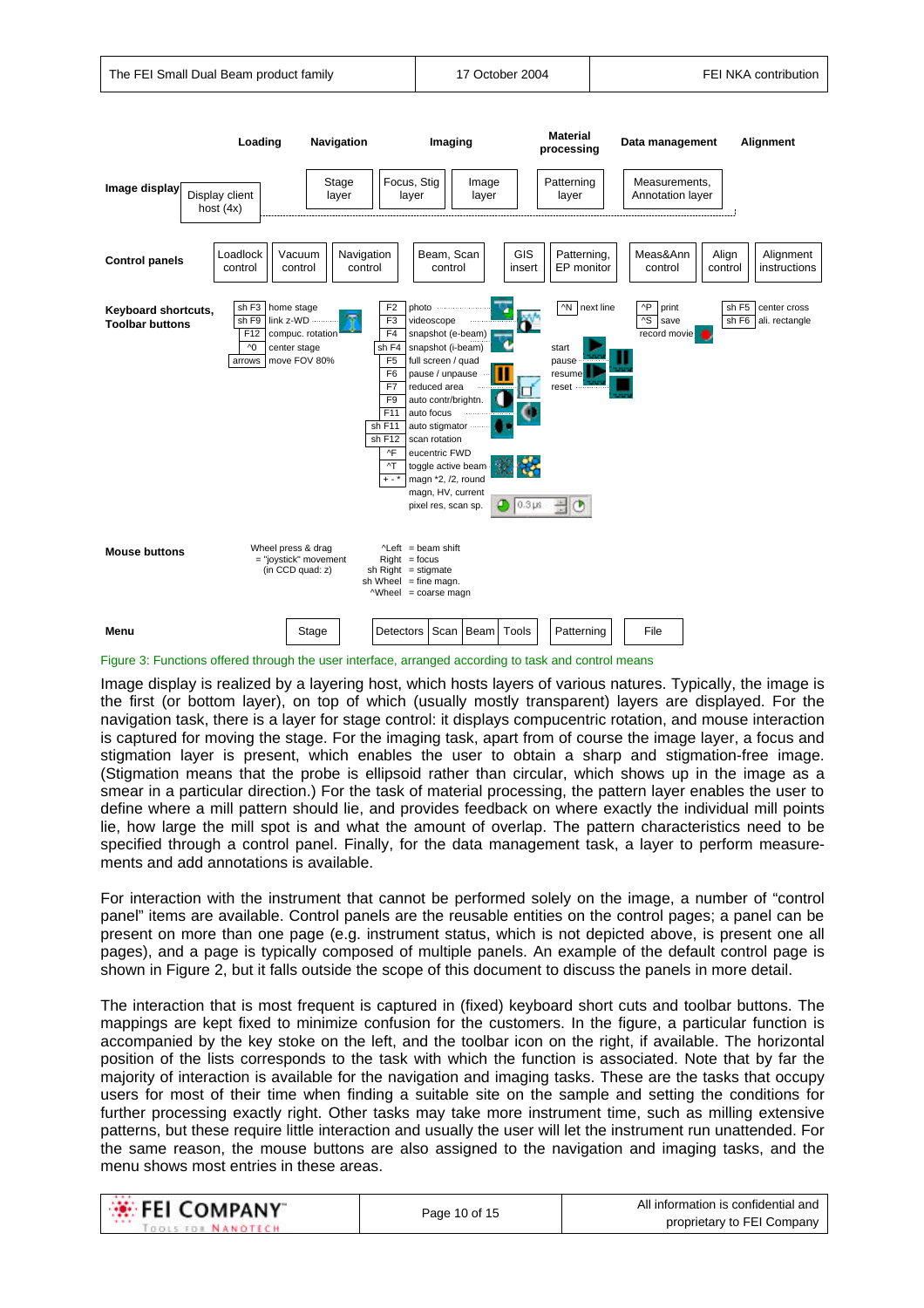

Figure 3: Functions offered through the user interface, arranged according to task and control means

Image display is realized by a layering host, which hosts layers of various natures. Typically, the image is the first (or bottom layer), on top of which (usually mostly transparent) layers are displayed. For the navigation task, there is a layer for stage control: it displays compucentric rotation, and mouse interaction is captured for moving the stage. For the imaging task, apart from of course the image layer, a focus and stigmation layer is present, which enables the user to obtain a sharp and stigmation-free image. (Stigmation means that the probe is ellipsoid rather than circular, which shows up in the image as a smear in a particular direction.) For the task of material processing, the pattern layer enables the user to define where a mill pattern should lie, and provides feedback on where exactly the individual mill points lie, how large the mill spot is and what the amount of overlap. The pattern characteristics need to be specified through a control panel. Finally, for the data management task, a layer to perform measurements and add annotations is available.

For interaction with the instrument that cannot be performed solely on the image, a number of "control panel" items are available. Control panels are the reusable entities on the control pages; a panel can be present on more than one page (e.g. instrument status, which is not depicted above, is present one all pages), and a page is typically composed of multiple panels. An example of the default control page is shown in Figure 2, but it falls outside the scope of this document to discuss the panels in more detail.

The interaction that is most frequent is captured in (fixed) keyboard short cuts and toolbar buttons. The mappings are kept fixed to minimize confusion for the customers. In the figure, a particular function is accompanied by the key stoke on the left, and the toolbar icon on the right, if available. The horizontal position of the lists corresponds to the task with which the function is associated. Note that by far the majority of interaction is available for the navigation and imaging tasks. These are the tasks that occupy users for most of their time when finding a suitable site on the sample and setting the conditions for further processing exactly right. Other tasks may take more instrument time, such as milling extensive patterns, but these require little interaction and usually the user will let the instrument run unattended. For the same reason, the mouse buttons are also assigned to the navigation and imaging tasks, and the menu shows most entries in these areas.

| <b>EXECTED COMPANY</b>            | Page 10 of 15 | All information is confidential and |
|-----------------------------------|---------------|-------------------------------------|
| <b><i>Contractor NANOTICH</i></b> |               | proprietary to FEI Company          |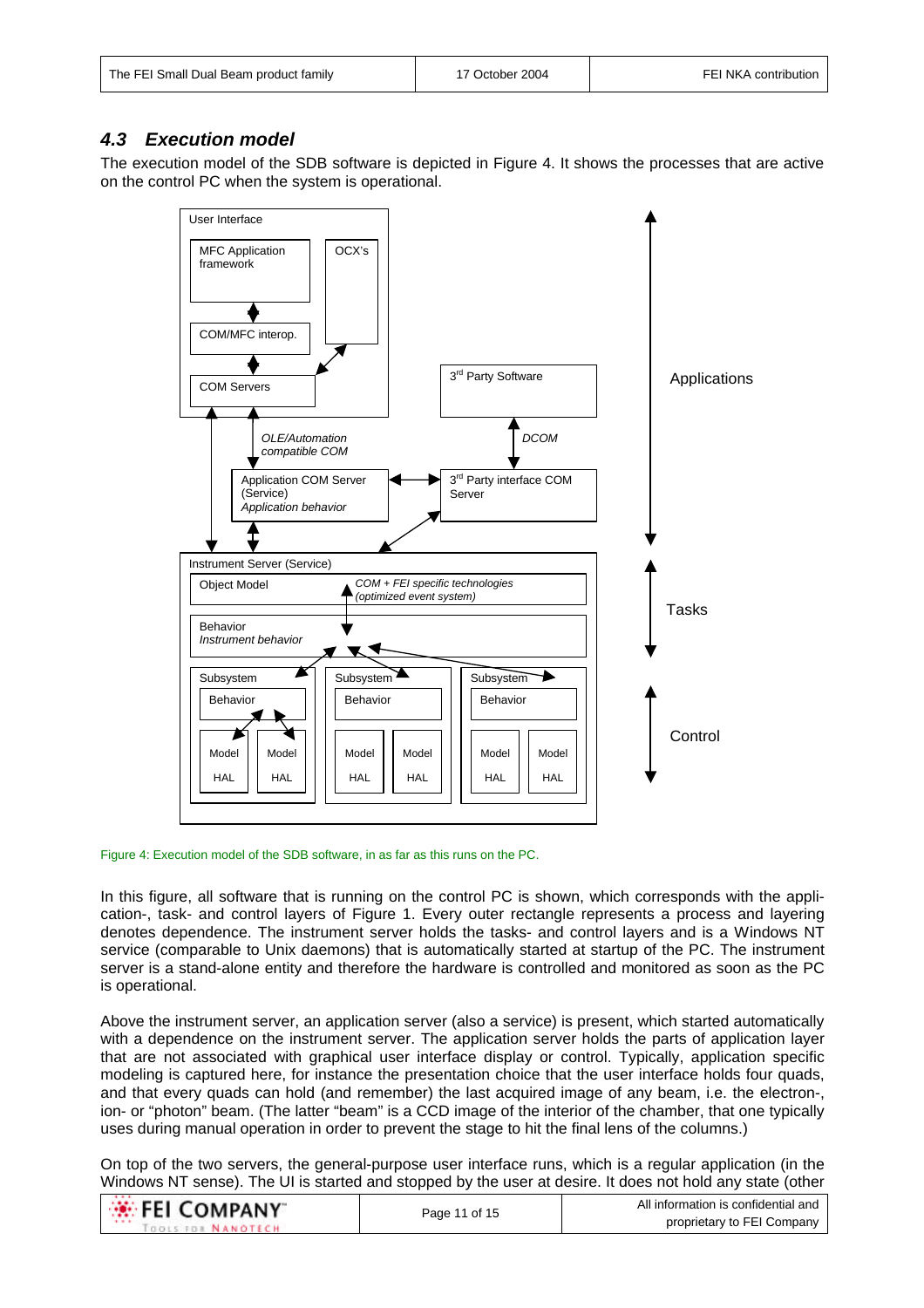| The FEI Small Dual Beam product family | 17 October 2004 | FEI NKA contribution |
|----------------------------------------|-----------------|----------------------|
|----------------------------------------|-----------------|----------------------|

# *4.3 Execution model*

The execution model of the SDB software is depicted in Figure 4. It shows the processes that are active on the control PC when the system is operational.



Figure 4: Execution model of the SDB software, in as far as this runs on the PC.

In this figure, all software that is running on the control PC is shown, which corresponds with the application-, task- and control layers of Figure 1. Every outer rectangle represents a process and layering denotes dependence. The instrument server holds the tasks- and control layers and is a Windows NT service (comparable to Unix daemons) that is automatically started at startup of the PC. The instrument server is a stand-alone entity and therefore the hardware is controlled and monitored as soon as the PC is operational.

Above the instrument server, an application server (also a service) is present, which started automatically with a dependence on the instrument server. The application server holds the parts of application layer that are not associated with graphical user interface display or control. Typically, application specific modeling is captured here, for instance the presentation choice that the user interface holds four quads, and that every quads can hold (and remember) the last acquired image of any beam, i.e. the electron-, ion- or "photon" beam. (The latter "beam" is a CCD image of the interior of the chamber, that one typically uses during manual operation in order to prevent the stage to hit the final lens of the columns.)

On top of the two servers, the general-purpose user interface runs, which is a regular application (in the Windows NT sense). The UI is started and stopped by the user at desire. It does not hold any state (other

| <b>EXPLEMENT COMPANY</b>         | Page 11 of 15 | All information is confidential and |
|----------------------------------|---------------|-------------------------------------|
| <b><i>LOOLS FOR NANOTECH</i></b> |               | proprietary to FEI Company          |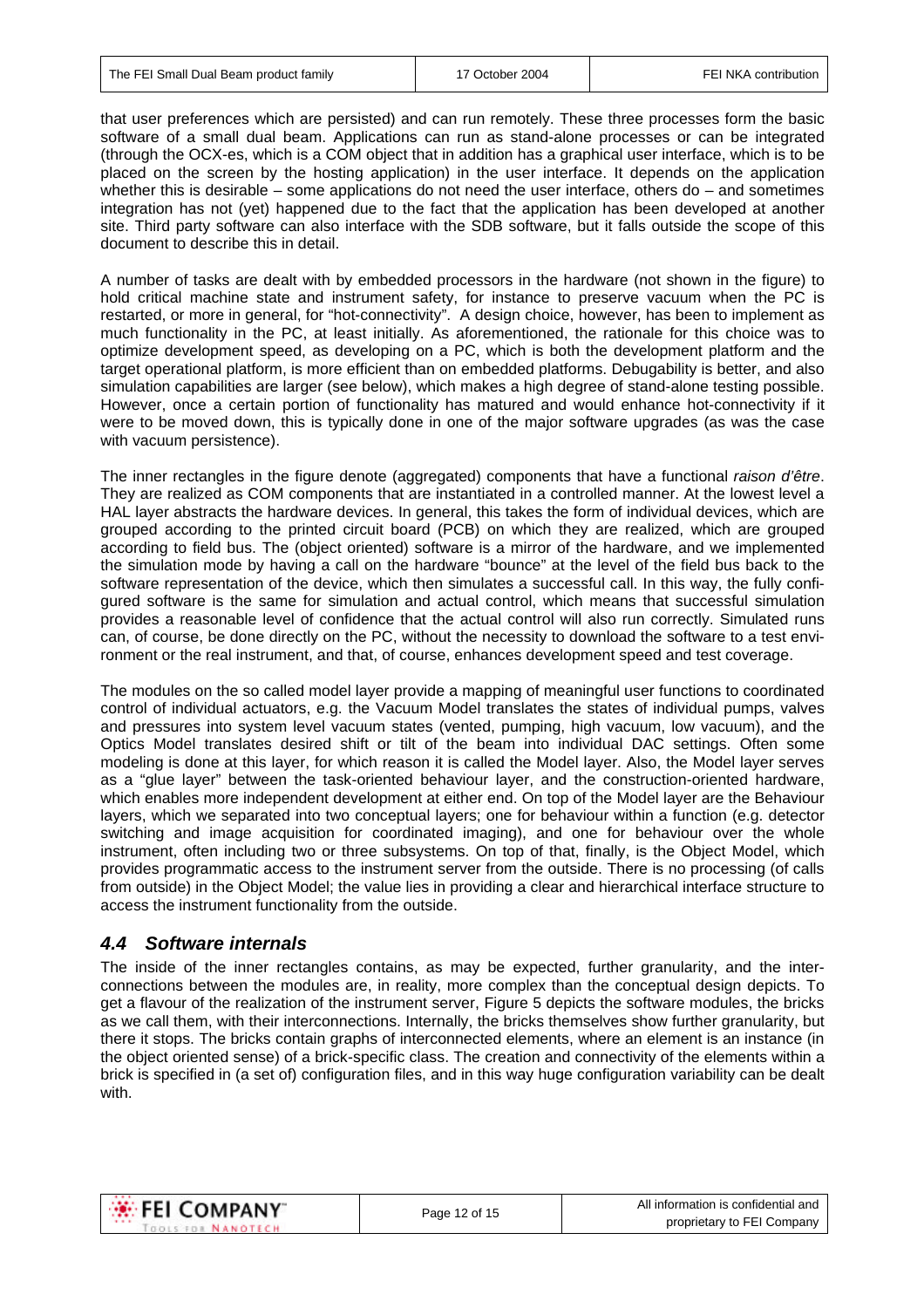| The FEI Small Dual Beam product family |  |  |
|----------------------------------------|--|--|
|                                        |  |  |

that user preferences which are persisted) and can run remotely. These three processes form the basic software of a small dual beam. Applications can run as stand-alone processes or can be integrated (through the OCX-es, which is a COM object that in addition has a graphical user interface, which is to be placed on the screen by the hosting application) in the user interface. It depends on the application whether this is desirable – some applications do not need the user interface, others do – and sometimes integration has not (yet) happened due to the fact that the application has been developed at another site. Third party software can also interface with the SDB software, but it falls outside the scope of this document to describe this in detail.

A number of tasks are dealt with by embedded processors in the hardware (not shown in the figure) to hold critical machine state and instrument safety, for instance to preserve vacuum when the PC is restarted, or more in general, for "hot-connectivity". A design choice, however, has been to implement as much functionality in the PC, at least initially. As aforementioned, the rationale for this choice was to optimize development speed, as developing on a PC, which is both the development platform and the target operational platform, is more efficient than on embedded platforms. Debugability is better, and also simulation capabilities are larger (see below), which makes a high degree of stand-alone testing possible. However, once a certain portion of functionality has matured and would enhance hot-connectivity if it were to be moved down, this is typically done in one of the major software upgrades (as was the case with vacuum persistence).

The inner rectangles in the figure denote (aggregated) components that have a functional *raison d'être*. They are realized as COM components that are instantiated in a controlled manner. At the lowest level a HAL layer abstracts the hardware devices. In general, this takes the form of individual devices, which are grouped according to the printed circuit board (PCB) on which they are realized, which are grouped according to field bus. The (object oriented) software is a mirror of the hardware, and we implemented the simulation mode by having a call on the hardware "bounce" at the level of the field bus back to the software representation of the device, which then simulates a successful call. In this way, the fully configured software is the same for simulation and actual control, which means that successful simulation provides a reasonable level of confidence that the actual control will also run correctly. Simulated runs can, of course, be done directly on the PC, without the necessity to download the software to a test environment or the real instrument, and that, of course, enhances development speed and test coverage.

The modules on the so called model layer provide a mapping of meaningful user functions to coordinated control of individual actuators, e.g. the Vacuum Model translates the states of individual pumps, valves and pressures into system level vacuum states (vented, pumping, high vacuum, low vacuum), and the Optics Model translates desired shift or tilt of the beam into individual DAC settings. Often some modeling is done at this layer, for which reason it is called the Model layer. Also, the Model layer serves as a "glue layer" between the task-oriented behaviour layer, and the construction-oriented hardware, which enables more independent development at either end. On top of the Model layer are the Behaviour layers, which we separated into two conceptual layers; one for behaviour within a function (e.g. detector switching and image acquisition for coordinated imaging), and one for behaviour over the whole instrument, often including two or three subsystems. On top of that, finally, is the Object Model, which provides programmatic access to the instrument server from the outside. There is no processing (of calls from outside) in the Object Model; the value lies in providing a clear and hierarchical interface structure to access the instrument functionality from the outside.

### *4.4 Software internals*

The inside of the inner rectangles contains, as may be expected, further granularity, and the interconnections between the modules are, in reality, more complex than the conceptual design depicts. To get a flavour of the realization of the instrument server, Figure 5 depicts the software modules, the bricks as we call them, with their interconnections. Internally, the bricks themselves show further granularity, but there it stops. The bricks contain graphs of interconnected elements, where an element is an instance (in the object oriented sense) of a brick-specific class. The creation and connectivity of the elements within a brick is specified in (a set of) configuration files, and in this way huge configuration variability can be dealt with.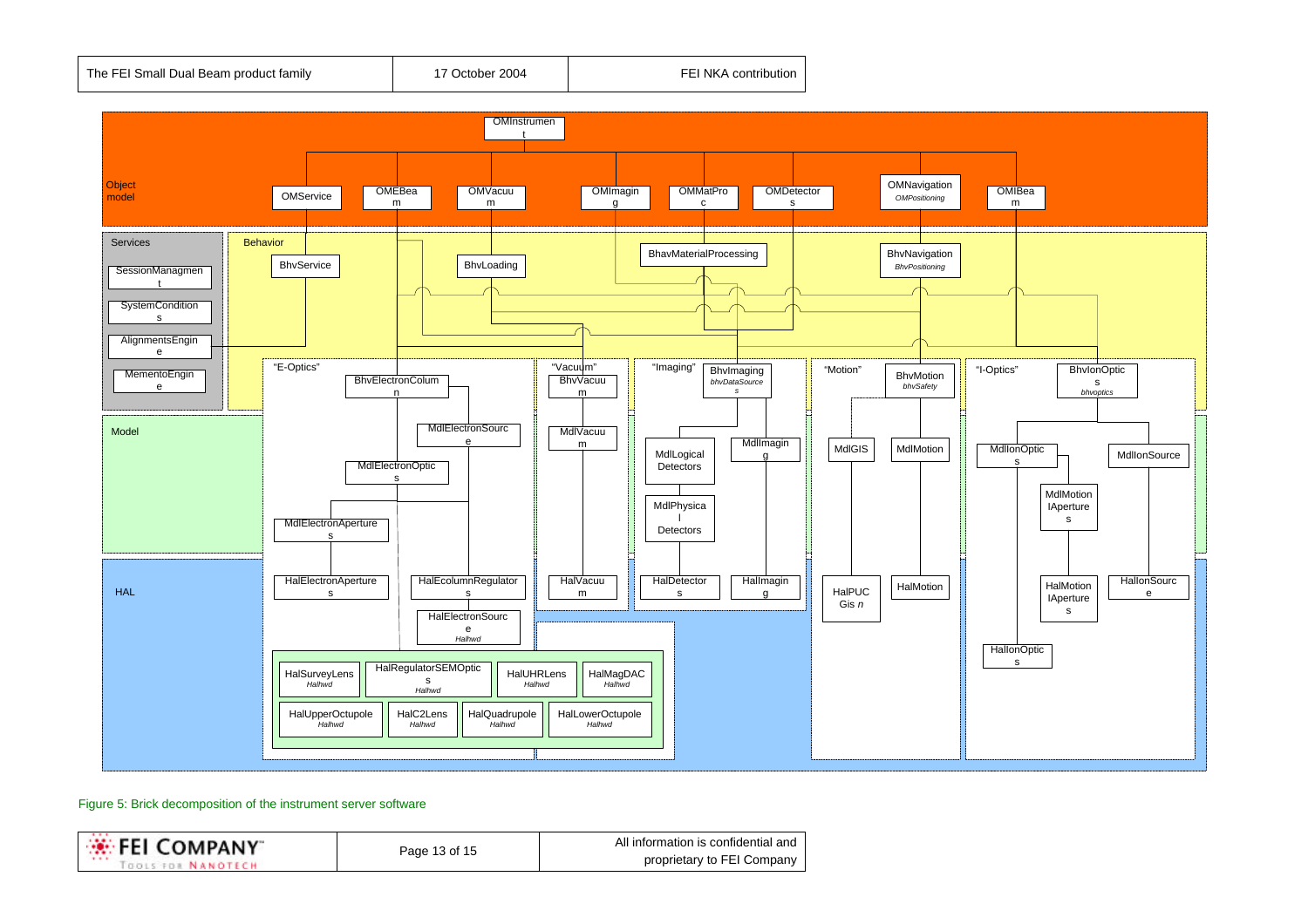



#### Figure 5: Brick decomposition of the instrument server software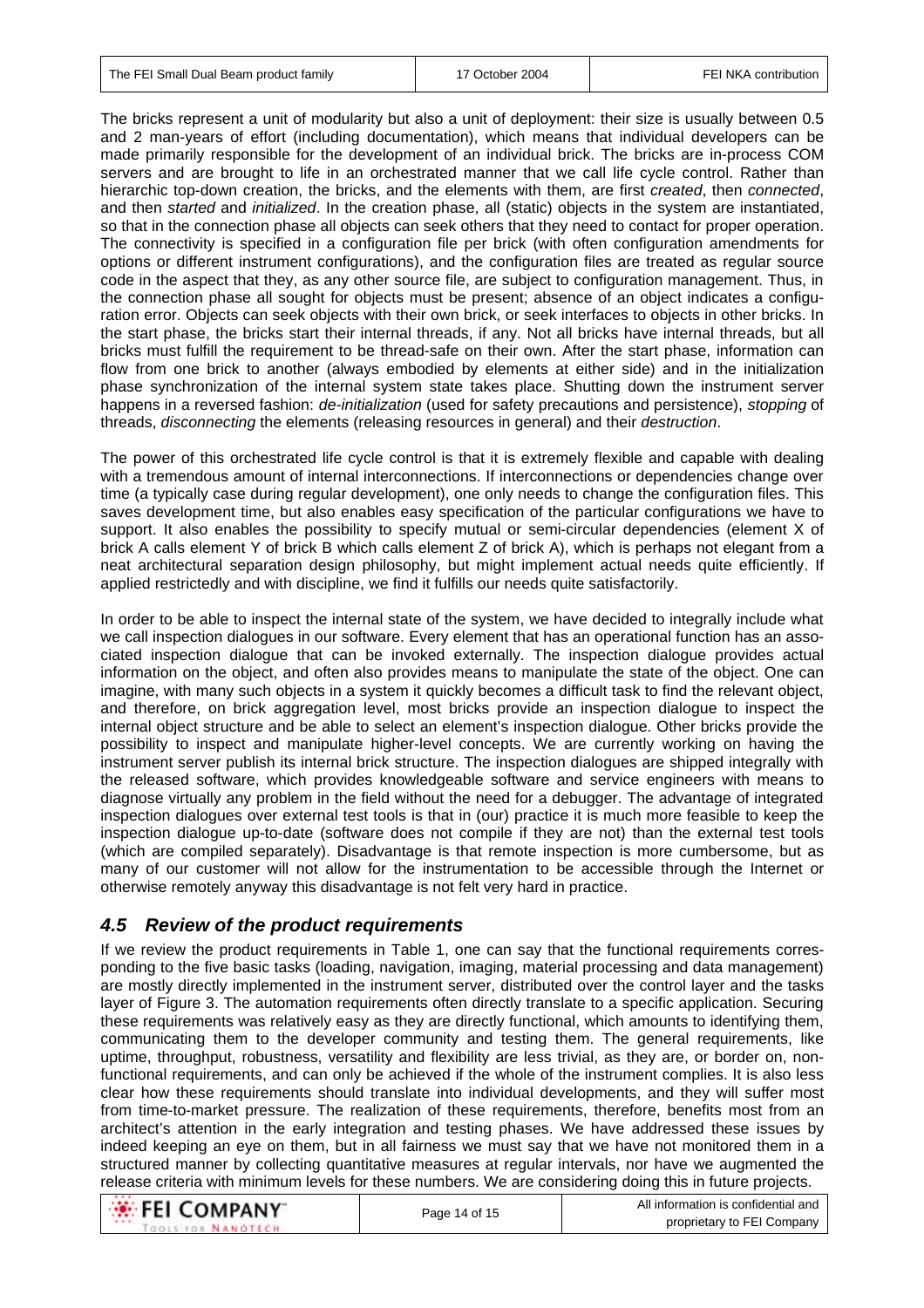The bricks represent a unit of modularity but also a unit of deployment: their size is usually between 0.5 and 2 man-years of effort (including documentation), which means that individual developers can be made primarily responsible for the development of an individual brick. The bricks are in-process COM servers and are brought to life in an orchestrated manner that we call life cycle control. Rather than hierarchic top-down creation, the bricks, and the elements with them, are first *created*, then *connected*, and then *started* and *initialized*. In the creation phase, all (static) objects in the system are instantiated, so that in the connection phase all objects can seek others that they need to contact for proper operation. The connectivity is specified in a configuration file per brick (with often configuration amendments for options or different instrument configurations), and the configuration files are treated as regular source code in the aspect that they, as any other source file, are subject to configuration management. Thus, in the connection phase all sought for objects must be present; absence of an object indicates a configuration error. Objects can seek objects with their own brick, or seek interfaces to objects in other bricks. In the start phase, the bricks start their internal threads, if any. Not all bricks have internal threads, but all bricks must fulfill the requirement to be thread-safe on their own. After the start phase, information can flow from one brick to another (always embodied by elements at either side) and in the initialization phase synchronization of the internal system state takes place. Shutting down the instrument server happens in a reversed fashion: *de-initialization* (used for safety precautions and persistence), *stopping* of threads, *disconnecting* the elements (releasing resources in general) and their *destruction*.

The power of this orchestrated life cycle control is that it is extremely flexible and capable with dealing with a tremendous amount of internal interconnections. If interconnections or dependencies change over time (a typically case during regular development), one only needs to change the configuration files. This saves development time, but also enables easy specification of the particular configurations we have to support. It also enables the possibility to specify mutual or semi-circular dependencies (element X of brick A calls element Y of brick B which calls element Z of brick A), which is perhaps not elegant from a neat architectural separation design philosophy, but might implement actual needs quite efficiently. If applied restrictedly and with discipline, we find it fulfills our needs quite satisfactorily.

In order to be able to inspect the internal state of the system, we have decided to integrally include what we call inspection dialogues in our software. Every element that has an operational function has an associated inspection dialogue that can be invoked externally. The inspection dialogue provides actual information on the object, and often also provides means to manipulate the state of the object. One can imagine, with many such objects in a system it quickly becomes a difficult task to find the relevant object, and therefore, on brick aggregation level, most bricks provide an inspection dialogue to inspect the internal object structure and be able to select an element's inspection dialogue. Other bricks provide the possibility to inspect and manipulate higher-level concepts. We are currently working on having the instrument server publish its internal brick structure. The inspection dialogues are shipped integrally with the released software, which provides knowledgeable software and service engineers with means to diagnose virtually any problem in the field without the need for a debugger. The advantage of integrated inspection dialogues over external test tools is that in (our) practice it is much more feasible to keep the inspection dialogue up-to-date (software does not compile if they are not) than the external test tools (which are compiled separately). Disadvantage is that remote inspection is more cumbersome, but as many of our customer will not allow for the instrumentation to be accessible through the Internet or otherwise remotely anyway this disadvantage is not felt very hard in practice.

### *4.5 Review of the product requirements*

If we review the product requirements in Table 1, one can say that the functional requirements corresponding to the five basic tasks (loading, navigation, imaging, material processing and data management) are mostly directly implemented in the instrument server, distributed over the control layer and the tasks layer of Figure 3. The automation requirements often directly translate to a specific application. Securing these requirements was relatively easy as they are directly functional, which amounts to identifying them, communicating them to the developer community and testing them. The general requirements, like uptime, throughput, robustness, versatility and flexibility are less trivial, as they are, or border on, nonfunctional requirements, and can only be achieved if the whole of the instrument complies. It is also less clear how these requirements should translate into individual developments, and they will suffer most from time-to-market pressure. The realization of these requirements, therefore, benefits most from an architect's attention in the early integration and testing phases. We have addressed these issues by indeed keeping an eye on them, but in all fairness we must say that we have not monitored them in a structured manner by collecting quantitative measures at regular intervals, nor have we augmented the release criteria with minimum levels for these numbers. We are considering doing this in future projects.

| <b>EXECTED COMPANY</b>           | Page 14 of 15 | All information is confidential and |
|----------------------------------|---------------|-------------------------------------|
| <b><i>EGOLS FOR NANOTECH</i></b> |               | proprietary to FEI Company          |